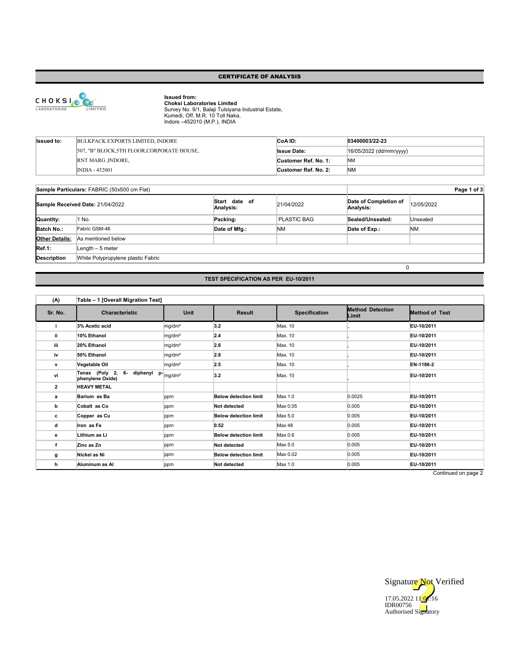#### CERTIFICATE OF ANALYSIS



**Issued from:<br>Choksi Laboratories Limited**<br>Survey No. 9/1, Balaji Tulsiyana Industrial Estate,<br>Kumedi, Off. M.R. 10 Toll Naka,<br>Indore –452010 (M.P.), INDIA

| <b>Issued to:</b> | BULKPACK EXPORTS LIMITED. INDORE             | CoA ID:              | 03400003/22-23          |
|-------------------|----------------------------------------------|----------------------|-------------------------|
|                   | [507, "B" BLOCK, 5TH FLOOR, CORPORATE HOUSE, | <b>Issue Date:</b>   | 16/05/2022 (dd/mm/yyyy) |
|                   | <b>RNT MARG , INDORE,</b>                    | Customer Ref. No. 1: | <b>NM</b>               |
|                   | $INDIA - 452001$                             | Customer Ref. No. 2: | <b>NM</b>               |

|                       | Sample Particulars: FABRIC (50x500 cm Flat) | Page 1 of 3                |                    |                                    |            |  |
|-----------------------|---------------------------------------------|----------------------------|--------------------|------------------------------------|------------|--|
|                       | Sample Received Date: 21/04/2022            | Start date of<br>Analysis: | 21/04/2022         | Date of Completion of<br>Analysis: | 12/05/2022 |  |
| Quantity:             | 1 No.                                       | Packing:                   | <b>PLASTIC BAG</b> | Sealed/Unsealed:                   | Unsealed   |  |
| Batch No.:            | Fabric GSM-48                               | Date of Mfg.:              | <b>NM</b>          | Date of Exp.:                      | <b>NM</b>  |  |
| <b>Other Details:</b> | As mentioned below                          |                            |                    |                                    |            |  |
| Ref.1:                | Length $-5$ meter                           |                            |                    |                                    |            |  |
| Description           | White Polypropylene plastic Fabric          |                            |                    |                                    |            |  |
|                       | 0                                           |                            |                    |                                    |            |  |

## **TEST SPECIFICATION AS PER EU-10/2011**

| (A)            | Table - 1 [Overall Migration Test]                                      |                    |                              |                      |                                  |                       |
|----------------|-------------------------------------------------------------------------|--------------------|------------------------------|----------------------|----------------------------------|-----------------------|
| Sr. No.        | <b>Characteristic</b>                                                   | Unit               | <b>Result</b>                | <b>Specification</b> | <b>Method Detection</b><br>Limit | <b>Method of Test</b> |
| i.             | 3% Acetic acid                                                          | mg/dm <sup>2</sup> | 3.2                          | Max. 10              |                                  | EU-10/2011            |
| ii.            | 10% Ethanol                                                             | mg/dm <sup>2</sup> | 2.4                          | Max. 10              |                                  | EU-10/2011            |
| iii            | 20% Ethanol                                                             | mg/dm <sup>2</sup> | 2.6                          | Max. 10              |                                  | EU-10/2011            |
| iv             | 50% Ethanol                                                             | mg/dm <sup>2</sup> | 2.8                          | Max. 10              |                                  | EU-10/2011            |
| v              | Vegetable Oil                                                           | mg/dm <sup>2</sup> | 2.5                          | Max. 10              |                                  | EN-1186-2             |
| ٧i             | diphenyl $p$ - $_{mg/dm^2}$<br>Tenax (Poly 2,<br>6-<br>phenylene Oxide) |                    | 3.2                          | Max. 10              |                                  | EU-10/2011            |
| $\overline{2}$ | <b>HEAVY METAL</b>                                                      |                    |                              |                      |                                  |                       |
| а              | Barium as Ba                                                            | ppm                | <b>Below detection limit</b> | Max 1.0              | 0.0025                           | EU-10/2011            |
| b              | Cobalt as Co                                                            | ppm                | Not detected                 | Max 0.05             | 0.005                            | EU-10/2011            |
| с              | Copper as Cu                                                            | ppm                | <b>Below detection limit</b> | Max 5.0              | 0.005                            | EU-10/2011            |
| d              | Iron as Fe                                                              | ppm                | 0.52                         | Max 48               | 0.005                            | EU-10/2011            |
| е              | Lithium as Li                                                           | ppm                | <b>Below detection limit</b> | Max 0.6              | 0.005                            | EU-10/2011            |
| f              | Zinc as Zn                                                              | ppm                | <b>Not detected</b>          | Max 5.0              | 0.005                            | EU-10/2011            |
| g              | Nickel as Ni                                                            | ppm                | <b>Below detection limit</b> | Max 0.02             | 0.005                            | EU-10/2011            |
| h              | Aluminum as Al                                                          | ppm                | Not detected                 | Max 1.0              | 0.005                            | EU-10/2011            |

Continued on page 2

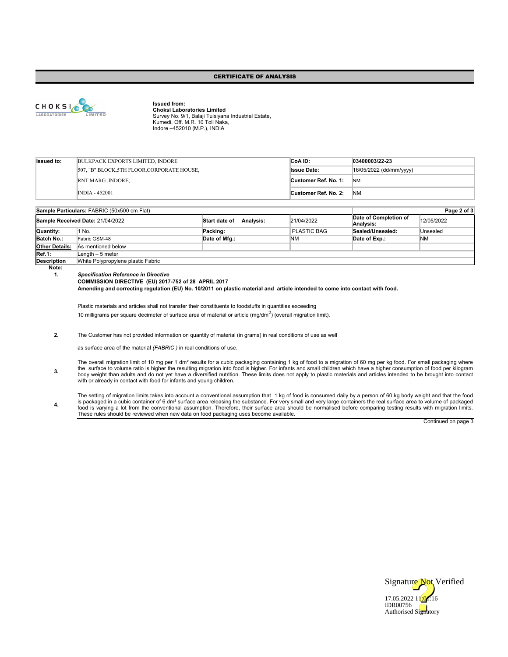## CERTIFICATE OF ANALYSIS



**Issued from: Choksi Laboratories Limited** Survey No. 9/1, Balaji Tulsiyana Industrial Estate, Kumedi, Off. M.R. 10 Toll Naka, Indore –452010 (M.P.), INDIA

| <b>Issued to:</b> | BULKPACK EXPORTS LIMITED, INDORE                  | CoA ID:              | $ 03400003/22-23$       |
|-------------------|---------------------------------------------------|----------------------|-------------------------|
|                   | 507, "B" BLOCK, 5TH FLOOR, CORPORATE HOUSE,       | <b>Issue Date:</b>   | 16/05/2022 (dd/mm/yyyy) |
|                   | <b>RNT MARG , INDORE,</b><br>Customer Ref. No. 1: |                      | <b>NM</b>               |
|                   | <b>INDIA - 452001</b>                             | Customer Ref. No. 2: | <b>NM</b>               |

|                       | Sample Particulars: FABRIC (50x500 cm Flat) |                                   | Page 2 of 3 |                                    |            |
|-----------------------|---------------------------------------------|-----------------------------------|-------------|------------------------------------|------------|
|                       | Sample Received Date: 21/04/2022            | <b>Analysis:</b><br>Start date of | 21/04/2022  | Date of Completion of<br>Analvsis: | 12/05/2022 |
| Quantity:             | I No.                                       | Packing:                          | PLASTIC BAG | Sealed/Unsealed:                   | Unsealed   |
| Batch No.:            | Fabric GSM-48                               | Date of Mfg.:                     | <b>NM</b>   | Date of Exp.:                      | <b>NM</b>  |
| <b>Other Details:</b> | As mentioned below                          |                                   |             |                                    |            |
| Ref.1:                | Length – 5 meter                            |                                   |             |                                    |            |
| <b>Description</b>    | White Polypropylene plastic Fabric          |                                   |             |                                    |            |

**Note:** 

**3.**

**4.**

**1.** *Specification Reference in Directive*

**COMMISSION DIRECTIVE (EU) 2017-752 of 28 APRIL 2017**

**Amending and correcting regulation (EU) No. 10/2011 on plastic material and article intended to come into contact with food.**

Plastic materials and articles shall not transfer their constituents to foodstuffs in quantities exceeding 10 milligrams per square decimeter of surface area of material or article  $(mg/dm^2)$  (overall migration limit).

**2.** The Customer has not provided information on quantity of material (in grams) in real conditions of use as well

as surface area of the material *(FABRIC )* in real conditions of use.

The overall migration limit of 10 mg per 1 dmª results for a cubic packaging containing 1 kg of food to a migration of 60 mg per kg food. For small packaging where<br>the surface to volume ratio is higher the resulting migra with or already in contact with food for infants and young children.

The setting of migration limits takes into account a conventional assumption that 1 kg of food is consumed daily by a person of 60 kg body weight and that the food<br>is packaged in a cubic container of 6 dm<sup>a</sup> surface area r

Continued on page 3